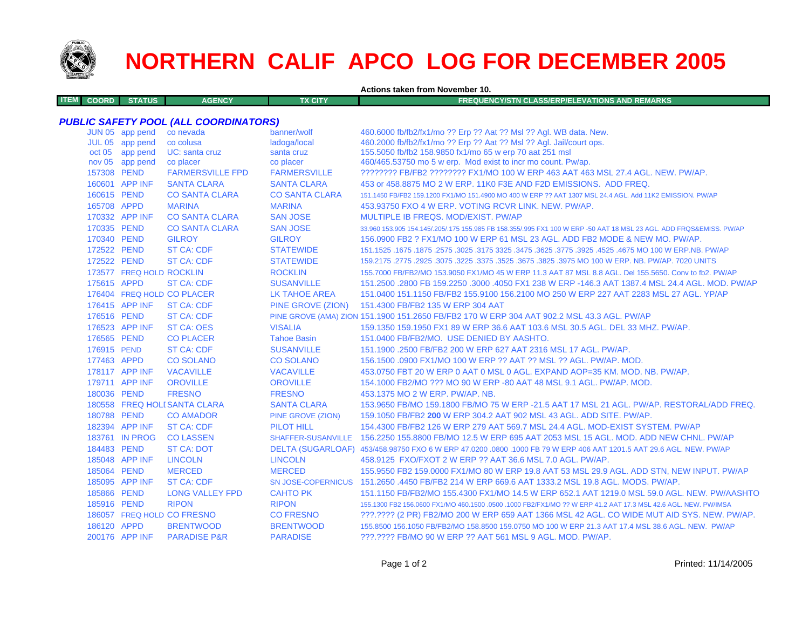

## **NORTHERN CALIF APCO LOG FOR DECEMBER 2005**

**Actions taken from November 10.**

| ITEM L | ⊟ COORD II | <b>STATUS</b> | <b>AGENCY</b> | TX CITY | EQUENCY/STN CLASS/ERP/ELEVATIONS AND REMARKS \ |
|--------|------------|---------------|---------------|---------|------------------------------------------------|
|        |            |               |               |         |                                                |

## *PUBLIC SAFETY POOL (ALL COORDINATORS)*

|             | JUN 05 app pend          | co nevada                    | banner/wolf           | 460.6000 fb/fb2/fx1/mo ?? Erp ?? Aat ?? Msl ?? Agl. WB data. New.                                                   |
|-------------|--------------------------|------------------------------|-----------------------|---------------------------------------------------------------------------------------------------------------------|
|             | JUL 05 app pend          | co colusa                    | ladoga/local          | 460.2000 fb/fb2/fx1/mo ?? Erp ?? Aat ?? Msl ?? Aql. Jail/court ops.                                                 |
|             | oct 05 app pend          | UC: santa cruz               | santa cruz            | 155.5050 fb/fb2 158.9850 fx1/mo 65 w erp 70 aat 251 msl                                                             |
|             | nov 05 app pend          | co placer                    | co placer             | 460/465.53750 mo 5 w erp. Mod exist to incr mo count. Pw/ap.                                                        |
| 157308 PEND |                          | <b>FARMERSVILLE FPD</b>      | <b>FARMERSVILLE</b>   | ???????? FB/FB2 ???????? FX1/MO 100 W ERP 463 AAT 463 MSL 27.4 AGL. NEW. PW/AP.                                     |
|             | 160601 APP INF           | <b>SANTA CLARA</b>           | <b>SANTA CLARA</b>    | 453 or 458,8875 MO 2 W ERP, 11K0 F3E AND F2D EMISSIONS. ADD FREQ.                                                   |
| 160615 PEND |                          | <b>CO SANTA CLARA</b>        | <b>CO SANTA CLARA</b> | 151.1450 FB/FB2 159.1200 FX1/MO 151.4900 MO 400 W ERP ?? AAT 1307 MSL 24.4 AGL. Add 11K2 EMISSION, PW/AP            |
| 165708 APPD |                          | <b>MARINA</b>                | <b>MARINA</b>         | 453.93750 FXO 4 W ERP. VOTING RCVR LINK, NEW, PW/AP.                                                                |
|             | 170332 APP INF           | <b>CO SANTA CLARA</b>        | <b>SAN JOSE</b>       | MULTIPLE IB FREQS, MOD/EXIST, PW/AP                                                                                 |
| 170335 PEND |                          | <b>CO SANTA CLARA</b>        | <b>SAN JOSE</b>       | 33,960 153,905 154,145/.205/.175 155,985 FB 158,355/.995 FX1 100 W ERP -50 AAT 18 MSL 23 AGL. ADD FRQS&EMISS, PW/AP |
| 170340 PEND |                          | <b>GILROY</b>                | <b>GILROY</b>         | 156,0900 FB2 ? FX1/MO 100 W ERP 61 MSL 23 AGL, ADD FB2 MODE & NEW MO, PW/AP.                                        |
| 172522 PEND |                          | <b>ST CA: CDF</b>            | <b>STATEWIDE</b>      | 151.1525 .1675 .1675 .3025 .3625 .3775 .3925 .3775 .3925 .3775 .3925 .4525 .4675 .00 .1677 .1625 .1679 .1679 .      |
| 172522 PEND |                          | <b>ST CA: CDF</b>            | <b>STATEWIDE</b>      | 159.2175 .2775 .2925 .3075 .3225 .3375 .3625 .3675 .3825 .3975 MO 100 W ERP. NB. PW/AP. 7020 UNITS                  |
|             | 173577 FREQ HOLD ROCKLIN |                              | <b>ROCKLIN</b>        | 155,7000 FB/FB2/MO 153,9050 FX1/MO 45 W ERP 11.3 AAT 87 MSL 8.8 AGL, Del 155,5650, Conv to fb2, PW/AP               |
| 175615 APPD |                          | <b>ST CA: CDF</b>            | <b>SUSANVILLE</b>     | 151.2500 .2800 FB 159.2250 .3000 .4050 FX1 238 W ERP -146.3 AAT 1387.4 MSL 24.4 AGL, MOD, PW/AP                     |
|             |                          | 176404 FREQ HOLD CO PLACER   | LK TAHOE AREA         | 151.0400 151.1150 FB/FB2 155.9100 156.2100 MO 250 W ERP 227 AAT 2283 MSL 27 AGL, YP/AP                              |
|             | 176415 APP INF           | <b>ST CA: CDF</b>            |                       | PINE GROVE (ZION) 151.4300 FB/FB2 135 W ERP 304 AAT                                                                 |
| 176516 PEND |                          | <b>ST CA: CDF</b>            |                       | PINE GROVE (AMA) ZION 151.1900 151.2650 FB/FB2 170 W ERP 304 AAT 902.2 MSL 43.3 AGL. PW/AP                          |
|             | 176523 APP INF           | <b>ST CA: OES</b>            | <b>VISALIA</b>        | 159.1350 159.1950 FX1 89 W ERP 36.6 AAT 103.6 MSL 30.5 AGL, DEL 33 MHZ, PW/AP.                                      |
| 176565 PEND |                          | <b>CO PLACER</b>             | <b>Tahoe Basin</b>    | 151.0400 FB/FB2/MO. USE DENIED BY AASHTO.                                                                           |
| 176915 PEND |                          | <b>ST CA: CDF</b>            | <b>SUSANVILLE</b>     | 151.1900 .2500 FB/FB2 200 W ERP 627 AAT 2316 MSL 17 AGL, PW/AP.                                                     |
| 177463 APPD |                          | <b>CO SOLANO</b>             | <b>CO SOLANO</b>      | 156.1500,0900 FX1/MO 100 W ERP ?? AAT ?? MSL ?? AGL, PW/AP, MOD.                                                    |
|             | 178117 APP INF           | <b>VACAVILLE</b>             | <b>VACAVILLE</b>      | 453.0750 FBT 20 W ERP 0 AAT 0 MSL 0 AGL. EXPAND AOP=35 KM. MOD. NB. PW/AP.                                          |
|             | 179711 APP INF           | <b>OROVILLE</b>              | <b>OROVILLE</b>       | 154,1000 FB2/MO ??? MO 90 W ERP -80 AAT 48 MSL 9.1 AGL, PW/AP, MOD.                                                 |
| 180036 PEND |                          | <b>FRESNO</b>                | <b>FRESNO</b>         | 453,1375 MO 2 W ERP. PW/AP. NB.                                                                                     |
|             |                          | 180558 FREQ HOLI SANTA CLARA | <b>SANTA CLARA</b>    | 153.9650 FB/MO 159.1800 FB/MO 75 W ERP -21.5 AAT 17 MSL 21 AGL, PW/AP, RESTORAL/ADD FREQ.                           |
| 180788 PEND |                          | <b>CO AMADOR</b>             | PINE GROVE (ZION)     | 159.1050 FB/FB2 200 W ERP 304.2 AAT 902 MSL 43 AGL, ADD SITE, PW/AP.                                                |
|             | 182394 APP INF           | <b>ST CA: CDF</b>            | <b>PILOT HILL</b>     | 154,4300 FB/FB2 126 W ERP 279 AAT 569.7 MSL 24.4 AGL, MOD-EXIST SYSTEM, PW/AP                                       |
|             | 183761 IN PROG           | <b>CO LASSEN</b>             |                       | SHAFFER-SUSANVILLE 156.2250 155.8800 FB/MO 12.5 W ERP 695 AAT 2053 MSL 15 AGL, MOD, ADD NEW CHNL, PW/AP             |
| 184483 PEND |                          | <b>ST CA: DOT</b>            |                       | DELTA (SUGARLOAF) 453/458.98750 FXO 6 W ERP 47.0200 .0800 .1000 FB 79 W ERP 406 AAT 1201.5 AAT 29.6 AGL. NEW. PW/AP |
|             | 185048 APP INF           | <b>LINCOLN</b>               | <b>LINCOLN</b>        | 458.9125 FXO/FXOT 2 W ERP ?? AAT 36.6 MSL 7.0 AGL, PW/AP.                                                           |
| 185064 PEND |                          | <b>MERCED</b>                | <b>MERCED</b>         | 155.9550 FB2 159.0000 FX1/MO 80 W ERP 19.8 AAT 53 MSL 29.9 AGL. ADD STN, NEW INPUT. PW/AP                           |
|             | 185095 APP INF           | <b>ST CA: CDF</b>            |                       | SN JOSE-COPERNICUS 151.2650 .4450 FB/FB2 214 W ERP 669.6 AAT 1333.2 MSL 19.8 AGL. MODS. PW/AP.                      |
| 185866 PEND |                          | <b>LONG VALLEY FPD</b>       | <b>CAHTO PK</b>       | 151.1150 FB/FB2/MO 155.4300 FX1/MO 14.5 W ERP 652.1 AAT 1219.0 MSL 59.0 AGL. NEW. PW/AASHTO                         |
| 185916 PEND |                          | <b>RIPON</b>                 | <b>RIPON</b>          | 155.1300 FB2 156.0600 FX1/MO 460.1500 .0500 .1000 FB2/FX1/MO ?? W ERP 41.2 AAT 17.3 MSL 42.6 AGL. NEW. PW/IMSA      |
|             |                          | 186057 FREQ HOLD CO FRESNO   | <b>CO FRESNO</b>      | ???.???? (2 PR) FB2/MO 200 W ERP 659 AAT 1366 MSL 42 AGL. CO WIDE MUT AID SYS. NEW. PW/AP.                          |
| 186120 APPD |                          | <b>BRENTWOOD</b>             | <b>BRENTWOOD</b>      | 155.8500 156.1050 FB/FB2/MO 158.8500 159.0750 MO 100 W ERP 21.3 AAT 17.4 MSL 38.6 AGL. NEW. PW/AP                   |
|             | 200176 APP INF           | <b>PARADISE P&amp;R</b>      | <b>PARADISE</b>       | ???.???? FB/MO 90 W ERP ?? AAT 561 MSL 9 AGL. MOD. PW/AP.                                                           |
|             |                          |                              |                       |                                                                                                                     |